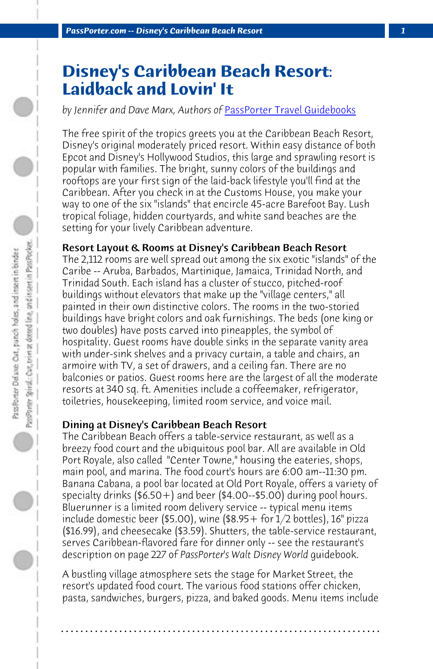*PassPorter.com -- Disney's Caribbean Beach Resort 1*

# **Disney's Caribbean Beach Resort: Laidback and Lovin' It**

*by Jennifer and Dave Marx, Authors of* PassPorter Travel Guidebooks

The free spirit of the tropics greets you at the Caribbean Beach Resort, Disney's original moderately priced resort. Within easy distance of both Epcot and Disney's Hollywood Studios, this large and sprawling resort is popular with families. The bright, sunny colors of the buildings and rooftops are your first sign of the laid-back lifestyle you'll find at the Caribbean. After you check in at the Customs House, you make your way to one of the six "islands" that encircle 45-acre Barefoot Bay. Lush tropical foliage, hidden courtyards, and white sand beaches are the setting for your lively Caribbean adventure.

# Resort Layout & Rooms at Disney's Caribbean Beach Resort

The 2,112 rooms are well spread out among the six exotic "islands" of the Caribe -- Aruba, Barbados, Martinique, Jamaica, Trinidad North, and Trinidad South. Each island has a cluster of stucco, pitched-roof buildings without elevators that make up the "village centers," all painted in their own distinctive colors. The rooms in the two-storied buildings have bright colors and oak furnishings. The beds (one king or two doubles) have posts carved into pineapples, the symbol of hospitality. Guest rooms have double sinks in the separate vanity area with under-sink shelves and a privacy curtain, a table and chairs, an armoire with TV, a set of drawers, and a ceiling fan. There are no balconies or patios. Guest rooms here are the largest of all the moderate resorts at 340 sq. ft. Amenities include a coffeemaker, refrigerator, toiletries, housekeeping, limited room service, and voice mail.

# Dining at Disney's Caribbean Beach Resort

The Caribbean Beach offers a table-service restaurant, as well as a breezy food court and the ubiquitous pool bar. All are available in Old Port Royale, also called "Center Towne," housing the eateries, shops, main pool, and marina. The food court's hours are 6:00 am--11:30 pm. Banana Cabana, a pool bar located at Old Port Royale, offers a variety of specialty drinks (\$6.50+) and beer (\$4.00--\$5.00) during pool hours. Bluerunner is a limited room delivery service -- typical menu items include domestic beer (\$5.00), wine (\$8.95 + for  $1/2$  bottles),  $16"$  pizza (\$16.99), and cheesecake (\$3.59). Shutters, the table-service restaurant, serves Caribbean-flavored fare for dinner only -- see the restaurant's description on page 227 of *PassPorter's Walt Disney World* guidebook.

A bustling village atmosphere sets the stage for Market Street, the resort's updated food court. The various food stations offer chicken, pasta, sandwiches, burgers, pizza, and baked goods. Menu items include

**. . . . . . . . . . . . . . . . . . . . . . . . . . . . . . . . . . . . . . . . . . . . . . . . . . . . . . . . . . . . . . . . . .**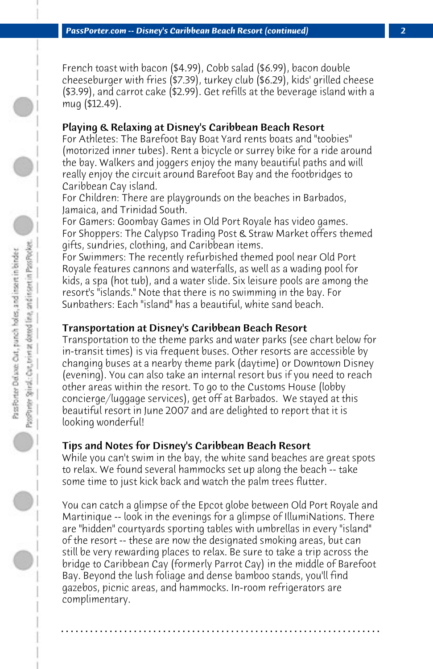French toast with bacon (\$4.99), Cobb salad (\$6.99), bacon double cheeseburger with fries (\$7.39), turkey club (\$6.29), kids' grilled cheese (\$3.99), and carrot cake (\$2.99). Get refills at the beverage island with a mug (\$12.49).

## Playing & Relaxing at Disney's Caribbean Beach Resort

For Athletes: The Barefoot Bay Boat Yard rents boats and "toobies" (motorized inner tubes). Rent a bicycle or surrey bike for a ride around the bay. Walkers and joggers enjoy the many beautiful paths and will really enjoy the circuit around Barefoot Bay and the footbridges to Caribbean Cay island.

For Children: There are playgrounds on the beaches in Barbados, Jamaica, and Trinidad South.

For Gamers: Goombay Games in Old Port Royale has video games. For Shoppers: The Calypso Trading Post & Straw Market offers themed gifts, sundries, clothing, and Caribbean items.

For Swimmers: The recently refurbished themed pool near Old Port Royale features cannons and waterfalls, as well as a wading pool for kids, a spa (hot tub), and a water slide. Six leisure pools are among the resort's "islands." Note that there is no swimming in the bay. For Sunbathers: Each "island" has a beautiful, white sand beach.

#### Transportation at Disney's Caribbean Beach Resort

Transportation to the theme parks and water parks (see chart below for in-transit times) is via frequent buses. Other resorts are accessible by changing buses at a nearby theme park (daytime) or Downtown Disney (evening). You can also take an internal resort bus if you need to reach other areas within the resort. To go to the Customs House (lobby concierge/luggage services), get off at Barbados. We stayed at this beautiful resort in June 2007 and are delighted to report that it is looking wonderful!

#### Tips and Notes for Disney's Caribbean Beach Resort

While you can't swim in the bay, the white sand beaches are great spots to relax. We found several hammocks set up along the beach -- take some time to just kick back and watch the palm trees flutter.

You can catch a glimpse of the Epcot globe between Old Port Royale and Martinique -- look in the evenings for a glimpse of IllumiNations. There are "hidden" courtyards sporting tables with umbrellas in every "island" of the resort -- these are now the designated smoking areas, but can still be very rewarding places to relax. Be sure to take a trip across the bridge to Caribbean Cay (formerly Parrot Cay) in the middle of Barefoot Bay. Beyond the lush foliage and dense bamboo stands, you'll find gazebos, picnic areas, and hammocks. In-room refrigerators are complimentary.

**. . . . . . . . . . . . . . . . . . . . . . . . . . . . . . . . . . . . . . . . . . . . . . . . . . . . . . . . . . . . . . . . . .**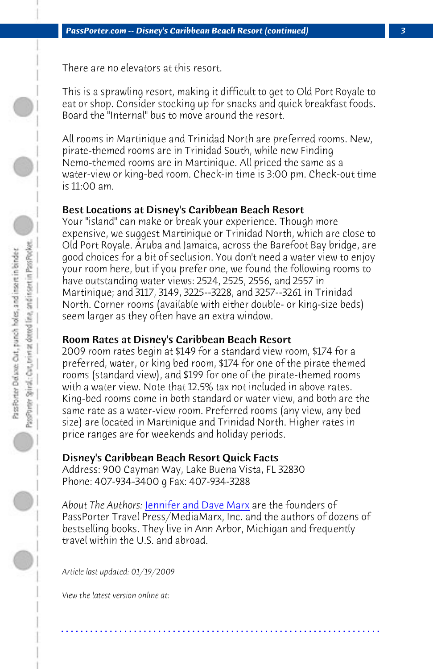*PassPorter.com -- Disney's Caribbean Beach Resort (continued) 3*

There are no elevators at this resort.

This is a sprawling resort, making it difficult to get to Old Port Royale to eat or shop. Consider stocking up for snacks and quick breakfast foods. Board the "Internal" bus to move around the resort.

All rooms in Martinique and Trinidad North are preferred rooms. New, pirate-themed rooms are in Trinidad South, while new Finding Nemo-themed rooms are in Martinique. All priced the same as a water-view or king-bed room. Check-in time is 3:00 pm. Check-out time is 11:00 am.

## Best Locations at Disney's Caribbean Beach Resort

Your "island" can make or break your experience. Though more expensive, we suggest Martinique or Trinidad North, which are close to Old Port Royale. Aruba and Jamaica, across the Barefoot Bay bridge, are good choices for a bit of seclusion. You don't need a water view to enjoy your room here, but if you prefer one, we found the following rooms to have outstanding water views: 2524, 2525, 2556, and 2557 in Martinique; and 3117, 3149, 3225--3228, and 3257--3261 in Trinidad North. Corner roo[ms \(available with either](http://www.passporter.com/wdw/authors.htm) double- or king-size beds) seem larger as they often have an extra window.

#### Room Rates at Disney's Caribbean Beach Resort

2009 room rates begin at \$149 for a standard view room, \$174 for a preferred, water, or king bed room, \$174 for one of the pirate themed rooms (standard view), and \$199 for one of the pirate-themed rooms with a water view. Note that 12.5% tax not included in above rates. King-bed rooms come in both standard or water view, and both are the same rate as a water-view room. Preferred rooms (any view, any bed size) are located in Martinique and Trinidad North. Higher rates in price ranges are for weekends and holiday periods.

# Disney's Caribbean Beach Resort Quick Facts

Address: 900 Cayman Way, Lake Buena Vista, FL 32830 Phone: 407-934-3400 g Fax: 407-934-3288

*About The Authors:* Jennifer and Dave Marx are the founders of PassPorter Travel Press/MediaMarx, Inc. and the authors of dozens of bestselling books. They live in Ann Arbor, Michigan and frequently travel within the U.S. and abroad.

**. . . . . . . . . . . . . . . . . . . . . . . . . . . . . . . . . . . . . . . . . . . . . . . . . . . . . . . . . . . . . . . . . .**

*Article last updated: 01/19/2009*

*View the latest version online at:*